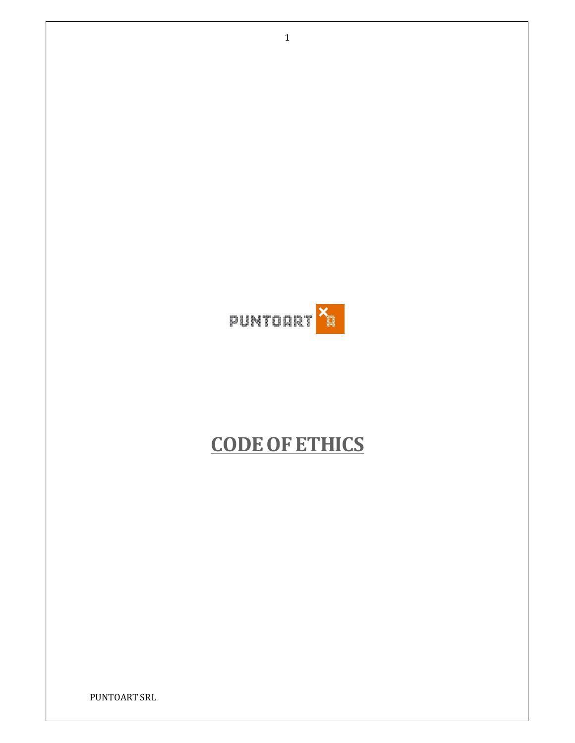

# CODEOFETHICS

PUNTOART SRL

1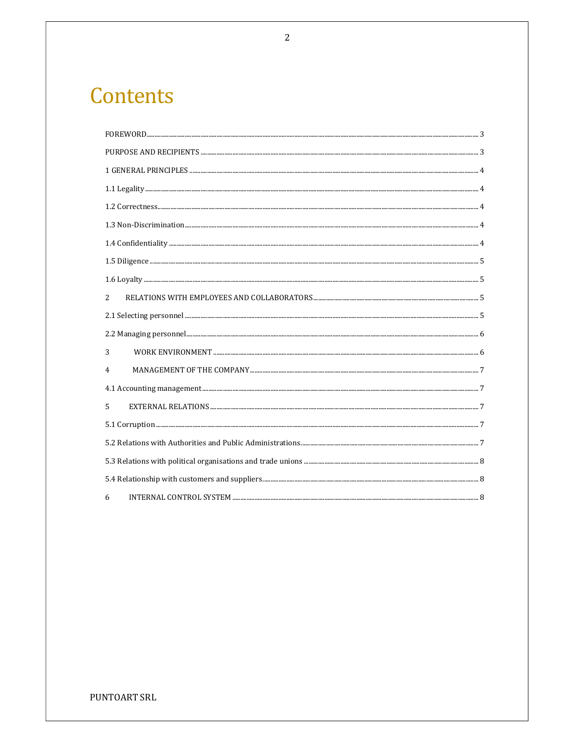# Contents

| 2 |  |
|---|--|
|   |  |
|   |  |
| 3 |  |
| 4 |  |
|   |  |
| 5 |  |
|   |  |
|   |  |
|   |  |
|   |  |
| 6 |  |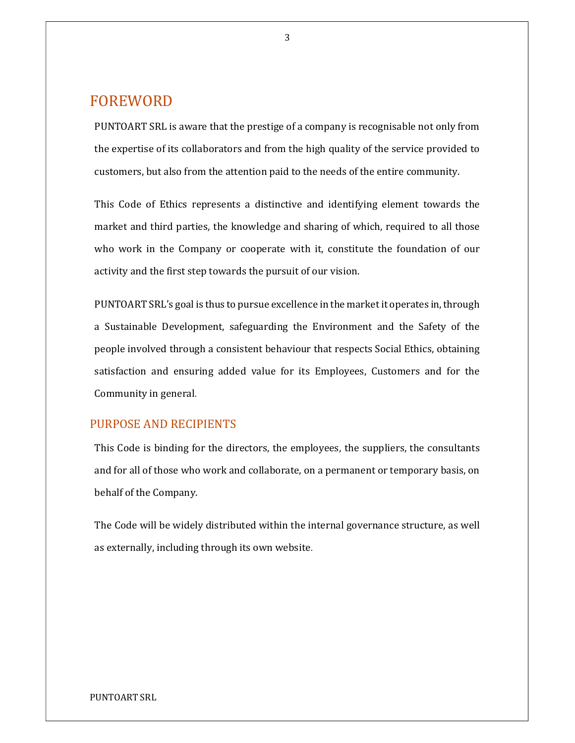# FOREWORD

PUNTOART SRL is aware that the prestige of a company is recognisable not only from the expertise of its collaborators and from the high quality of the service provided to customers, but also from the attention paid to the needs of the entire community.

This Code of Ethics represents a distinctive and identifying element towards the market and third parties, the knowledge and sharing of which, required to all those who work in the Company or cooperate with it, constitute the foundation of our activity and the first step towards the pursuit of our vision.

PUNTOART SRL's goal is thus to pursue excellence in the market it operates in, through a Sustainable Development, safeguarding the Environment and the Safety of the people involved through a consistent behaviour that respects Social Ethics, obtaining satisfaction and ensuring added value for its Employees, Customers and for the Community in general.

### PURPOSE AND RECIPIENTS

This Code is binding for the directors, the employees, the suppliers, the consultants and for all of those who work and collaborate, on a permanent or temporary basis, on behalf of the Company.

The Code will be widely distributed within the internal governance structure, as well as externally, including through its own website.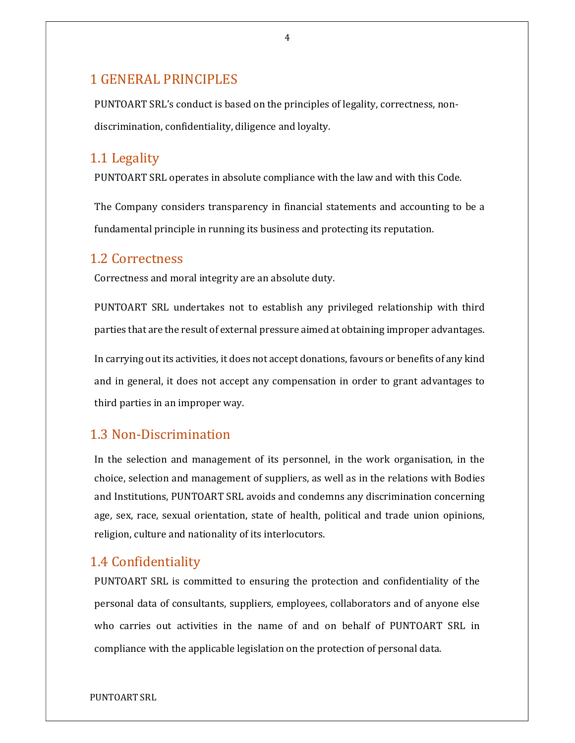# 1 GENERAL PRINCIPLES

PUNTOART SRL's conduct is based on the principles of legality, correctness, nondiscrimination, confidentiality, diligence and loyalty.

### 1.1 Legality

PUNTOART SRL operates in absolute compliance with the law and with this Code.

The Company considers transparency in financial statements and accounting to be a fundamental principle in running its business and protecting its reputation.

### 1.2 Correctness

Correctness and moral integrity are an absolute duty.

PUNTOART SRL undertakes not to establish any privileged relationship with third parties that are the result of external pressure aimed at obtaining improper advantages.

In carrying out its activities, it does not accept donations, favours or benefits of any kind and in general, it does not accept any compensation in order to grant advantages to third parties in an improper way.

# 1.3 Non-Discrimination

In the selection and management of its personnel, in the work organisation, in the choice, selection and management of suppliers, as well as in the relations with Bodies and Institutions, PUNTOART SRL avoids and condemns any discrimination concerning age, sex, race, sexual orientation, state of health, political and trade union opinions, religion, culture and nationality of its interlocutors.

## 1.4 Confidentiality

PUNTOART SRL is committed to ensuring the protection and confidentiality of the personal data of consultants, suppliers, employees, collaborators and of anyone else who carries out activities in the name of and on behalf of PUNTOART SRL in compliance with the applicable legislation on the protection of personal data.

4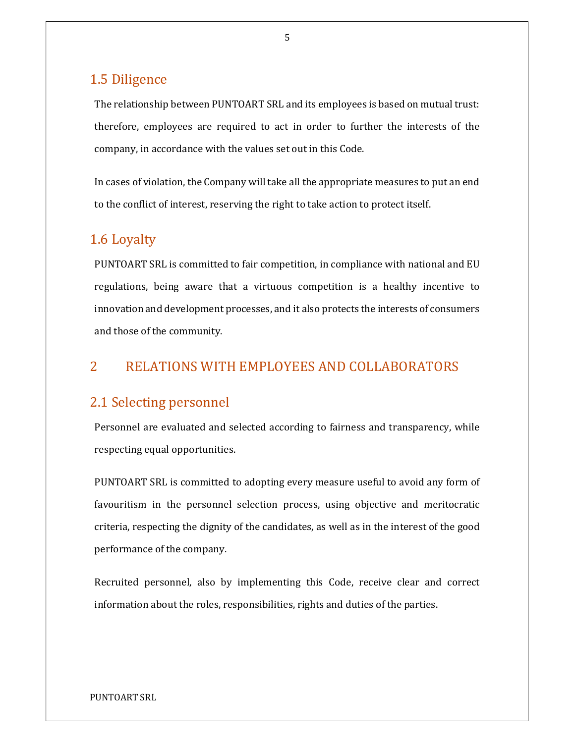# 1.5 Diligence

The relationship between PUNTOART SRL and its employees is based on mutual trust: therefore, employees are required to act in order to further the interests of the company, in accordance with the values set out in this Code.

In cases of violation, the Company will take all the appropriate measures to put an end to the conflict of interest, reserving the right to take action to protect itself.

# 1.6 Loyalty

PUNTOART SRL is committed to fair competition, in compliance with national and EU regulations, being aware that a virtuous competition is a healthy incentive to innovation and development processes, and it also protects the interests of consumers and those of the community.

# 2 RELATIONS WITH EMPLOYEES AND COLLABORATORS

### 2.1 Selecting personnel

Personnel are evaluated and selected according to fairness and transparency, while respecting equal opportunities.

PUNTOART SRL is committed to adopting every measure useful to avoid any form of favouritism in the personnel selection process, using objective and meritocratic criteria, respecting the dignity of the candidates, as well as in the interest of the good performance of the company.

Recruited personnel, also by implementing this Code, receive clear and correct information about the roles, responsibilities, rights and duties of the parties.

#### 5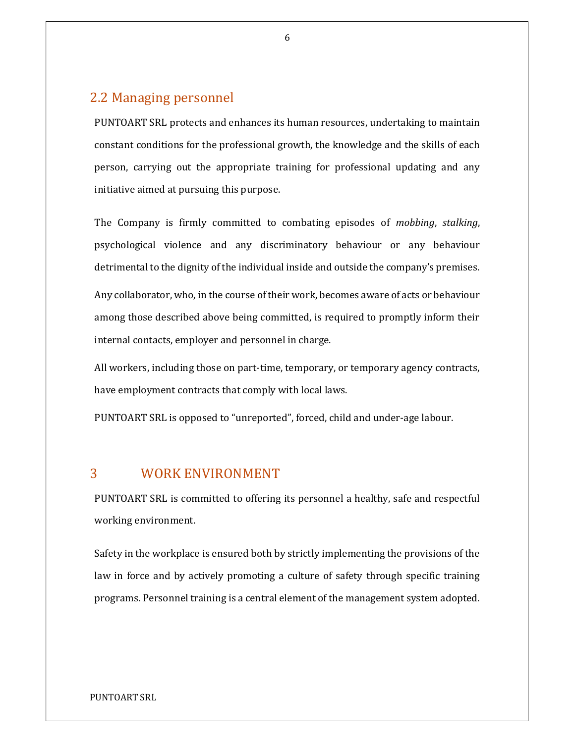# 2.2 Managing personnel

PUNTOART SRL protects and enhances its human resources, undertaking to maintain constant conditions for the professional growth, the knowledge and the skills of each person, carrying out the appropriate training for professional updating and any initiative aimed at pursuing this purpose.

The Company is firmly committed to combating episodes of mobbing, stalking, psychological violence and any discriminatory behaviour or any behaviour detrimental to the dignity of the individual inside and outside the company's premises. Any collaborator, who, in the course of their work, becomes aware of acts or behaviour among those described above being committed, is required to promptly inform their internal contacts, employer and personnel in charge.

All workers, including those on part-time, temporary, or temporary agency contracts, have employment contracts that comply with local laws.

PUNTOART SRL is opposed to "unreported", forced, child and under-age labour.

### 3 WORK ENVIRONMENT

PUNTOART SRL is committed to offering its personnel a healthy, safe and respectful working environment.

Safety in the workplace is ensured both by strictly implementing the provisions of the law in force and by actively promoting a culture of safety through specific training programs. Personnel training is a central element of the management system adopted.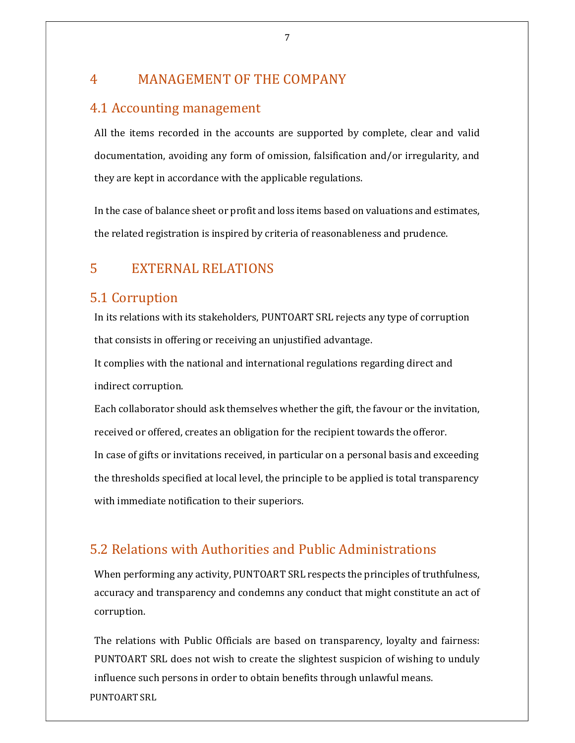# 4 MANAGEMENT OF THE COMPANY

# 4.1 Accounting management

All the items recorded in the accounts are supported by complete, clear and valid documentation, avoiding any form of omission, falsification and/or irregularity, and they are kept in accordance with the applicable regulations.

In the case of balance sheet or profit and loss items based on valuations and estimates, the related registration is inspired by criteria of reasonableness and prudence.

# 5 EXTERNAL RELATIONS

# 5.1 Corruption

In its relations with its stakeholders, PUNTOART SRL rejects any type of corruption that consists in offering or receiving an unjustified advantage.

It complies with the national and international regulations regarding direct and indirect corruption.

Each collaborator should ask themselves whether the gift, the favour or the invitation, received or offered, creates an obligation for the recipient towards the offeror. In case of gifts or invitations received, in particular on a personal basis and exceeding the thresholds specified at local level, the principle to be applied is total transparency with immediate notification to their superiors.

# 5.2 Relations with Authorities and Public Administrations

When performing any activity, PUNTOART SRL respects the principles of truthfulness, accuracy and transparency and condemns any conduct that might constitute an act of corruption.

PUNTOART SRL The relations with Public Officials are based on transparency, loyalty and fairness: PUNTOART SRL does not wish to create the slightest suspicion of wishing to unduly influence such persons in order to obtain benefits through unlawful means.

7